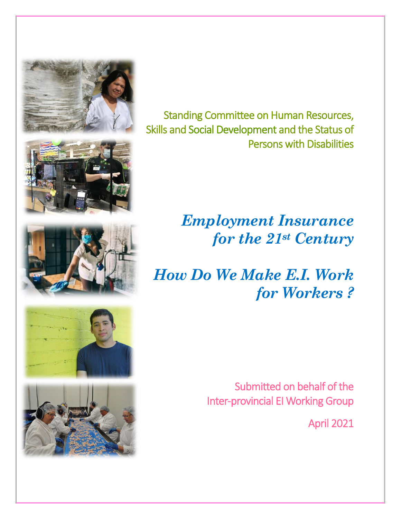



# *Employment Insurance for the 21st Century*

# *How Do We Make E.I. Work for Workers ?*

Submitted on behalf of the Inter-provincial EI Working Group

April 2021



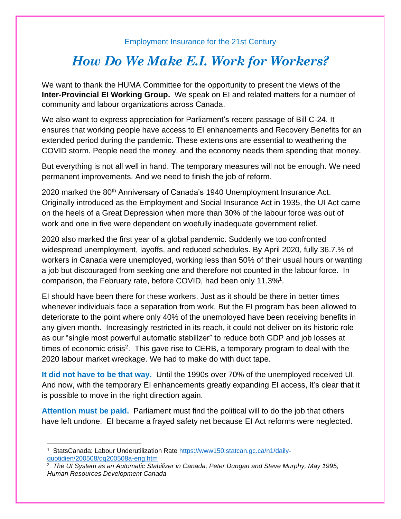#### Employment Insurance for the 21st Century

### *How Do We Make E.I. Work for Workers?*

We want to thank the HUMA Committee for the opportunity to present the views of the **Inter-Provincial EI Working Group.** We speak on EI and related matters for a number of community and labour organizations across Canada.

We also want to express appreciation for Parliament's recent passage of Bill C-24. It ensures that working people have access to EI enhancements and Recovery Benefits for an extended period during the pandemic. These extensions are essential to weathering the COVID storm. People need the money, and the economy needs them spending that money.

But everything is not all well in hand. The temporary measures will not be enough. We need permanent improvements. And we need to finish the job of reform.

2020 marked the 80<sup>th</sup> Anniversary of Canada's 1940 Unemployment Insurance Act. Originally introduced as the Employment and Social Insurance Act in 1935, the UI Act came on the heels of a Great Depression when more than 30% of the labour force was out of work and one in five were dependent on woefully inadequate government relief.

2020 also marked the first year of a global pandemic. Suddenly we too confronted widespread unemployment, layoffs, and reduced schedules. By April 2020, fully 36.7.% of workers in Canada were unemployed, working less than 50% of their usual hours or wanting a job but discouraged from seeking one and therefore not counted in the labour force. In comparison, the February rate, before COVID, had been only 11.3%<sup>1</sup>.

EI should have been there for these workers. Just as it should be there in better times whenever individuals face a separation from work. But the EI program has been allowed to deteriorate to the point where only 40% of the unemployed have been receiving benefits in any given month. Increasingly restricted in its reach, it could not deliver on its historic role as our "single most powerful automatic stabilizer" to reduce both GDP and job losses at times of economic crisis<sup>2</sup>. This gave rise to CERB, a temporary program to deal with the 2020 labour market wreckage. We had to make do with duct tape.

**It did not have to be that way.** Until the 1990s over 70% of the unemployed received UI. And now, with the temporary EI enhancements greatly expanding EI access, it's clear that it is possible to move in the right direction again.

**Attention must be paid.** Parliament must find the political will to do the job that others have left undone. EI became a frayed safety net because EI Act reforms were neglected.

<sup>1</sup> StatsCanada: Labour Underutilization Rate [https://www150.statcan.gc.ca/n1/daily](https://www150.statcan.gc.ca/n1/daily-quotidien/200508/dq200508a-eng.htm)[quotidien/200508/dq200508a-eng.htm](https://www150.statcan.gc.ca/n1/daily-quotidien/200508/dq200508a-eng.htm)

<sup>2</sup> *The UI System as an Automatic Stabilizer in Canada, Peter Dungan and Steve Murphy, May 1995, Human Resources Development Canada*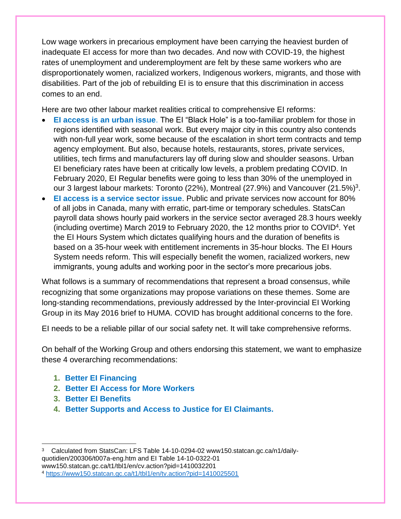Low wage workers in precarious employment have been carrying the heaviest burden of inadequate EI access for more than two decades. And now with COVID-19, the highest rates of unemployment and underemployment are felt by these same workers who are disproportionately women, racialized workers, Indigenous workers, migrants, and those with disabilities. Part of the job of rebuilding EI is to ensure that this discrimination in access comes to an end.

Here are two other labour market realities critical to comprehensive EI reforms:

- **EI access is an urban issue**. The EI "Black Hole" is a too-familiar problem for those in regions identified with seasonal work. But every major city in this country also contends with non-full year work, some because of the escalation in short term contracts and temp agency employment. But also, because hotels, restaurants, stores, private services, utilities, tech firms and manufacturers lay off during slow and shoulder seasons. Urban EI beneficiary rates have been at critically low levels, a problem predating COVID. In February 2020, EI Regular benefits were going to less than 30% of the unemployed in our 3 largest labour markets: Toronto (22%), Montreal (27.9%) and Vancouver (21.5%)<sup>3</sup>.
- **EI access is a service sector issue**. Public and private services now account for 80% of all jobs in Canada, many with erratic, part-time or temporary schedules. StatsCan payroll data shows hourly paid workers in the service sector averaged 28.3 hours weekly (including overtime) March 2019 to February 2020, the 12 months prior to COVID<sup>4</sup> . Yet the EI Hours System which dictates qualifying hours and the duration of benefits is based on a 35-hour week with entitlement increments in 35-hour blocks. The EI Hours System needs reform. This will especially benefit the women, racialized workers, new immigrants, young adults and working poor in the sector's more precarious jobs.

What follows is a summary of recommendations that represent a broad consensus, while recognizing that some organizations may propose variations on these themes. Some are long-standing recommendations, previously addressed by the Inter-provincial EI Working Group in its May 2016 brief to HUMA. COVID has brought additional concerns to the fore.

EI needs to be a reliable pillar of our social safety net. It will take comprehensive reforms.

On behalf of the Working Group and others endorsing this statement, we want to emphasize these 4 overarching recommendations:

- **1. Better EI Financing**
- **2. Better EI Access for More Workers**
- **3. Better EI Benefits**
- **4. Better Supports and Access to Justice for EI Claimants.**

<sup>3</sup> Calculated from StatsCan: LFS Table 14-10-0294-02 www150.statcan.gc.ca/n1/dailyquotidien/200306/t007a-eng.htm and EI Table 14-10-0322-01 www150.statcan.gc.ca/t1/tbl1/en/cv.action?pid=1410032201 <sup>4</sup> <https://www150.statcan.gc.ca/t1/tbl1/en/tv.action?pid=1410025501>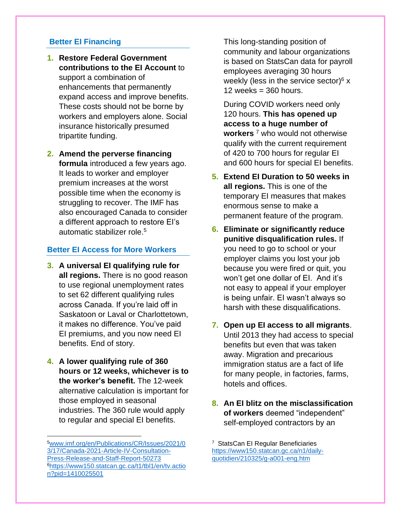#### **Better EI Financing**

- **1. Restore Federal Government contributions to the EI Account** to support a combination of enhancements that permanently expand access and improve benefits. These costs should not be borne by workers and employers alone. Social insurance historically presumed tripartite funding.
- **2. Amend the perverse financing formula** introduced a few years ago. It leads to worker and employer premium increases at the worst possible time when the economy is struggling to recover. The IMF has also encouraged Canada to consider a different approach to restore EI's automatic stabilizer role.<sup>5</sup>

#### **Better EI Access for More Workers**

- **3. A universal EI qualifying rule for all regions.** There is no good reason to use regional unemployment rates to set 62 different qualifying rules across Canada. If you're laid off in Saskatoon or Laval or Charlottetown, it makes no difference. You've paid EI premiums, and you now need EI benefits. End of story.
- **4. A lower qualifying rule of 360 hours or 12 weeks, whichever is to the worker's benefit.** The 12-week alternative calculation is important for those employed in seasonal industries. The 360 rule would apply to regular and special EI benefits.

This long-standing position of community and labour organizations is based on StatsCan data for payroll employees averaging 30 hours weekly (less in the service sector) $6 \times$  $12$  weeks = 360 hours.

During COVID workers need only 120 hours. **This has opened up access to a huge number of workers** <sup>7</sup> who would not otherwise qualify with the current requirement of 420 to 700 hours for regular EI and 600 hours for special EI benefits.

- **5. Extend EI Duration to 50 weeks in all regions.** This is one of the temporary EI measures that makes enormous sense to make a permanent feature of the program.
- **6. Eliminate or significantly reduce punitive disqualification rules.** If you need to go to school or your employer claims you lost your job because you were fired or quit, you won't get one dollar of EI. And it's not easy to appeal if your employer is being unfair. EI wasn't always so harsh with these disqualifications.
- **7. Open up EI access to all migrants**. Until 2013 they had access to special benefits but even that was taken away. Migration and precarious immigration status are a fact of life for many people, in factories, farms, hotels and offices.
- **8. An EI blitz on the misclassification of workers** deemed "independent" self-employed contractors by an

<sup>5</sup>[www.imf.org/en/Publications/CR/Issues/2021/0](http://www.imf.org/en/Publications/CR/Issues/2021/03/17/Canada-2021-Article-IV-Consultation-Press-Release-and-Staff-Report-50273) [3/17/Canada-2021-Article-IV-Consultation-](http://www.imf.org/en/Publications/CR/Issues/2021/03/17/Canada-2021-Article-IV-Consultation-Press-Release-and-Staff-Report-50273)[Press-Release-and-Staff-Report-50273](http://www.imf.org/en/Publications/CR/Issues/2021/03/17/Canada-2021-Article-IV-Consultation-Press-Release-and-Staff-Report-50273) <sup>6</sup>[https://www150.statcan.gc.ca/t1/tbl1/en/tv.actio](https://www150.statcan.gc.ca/t1/tbl1/en/tv.action?pid=1410025501) [n?pid=1410025501](https://www150.statcan.gc.ca/t1/tbl1/en/tv.action?pid=1410025501)

<sup>7</sup> StatsCan EI Regular Beneficiaries [https://www150.statcan.gc.ca/n1/daily](https://www150.statcan.gc.ca/n1/daily-quotidien/210325/g-a001-eng.htm)[quotidien/210325/g-a001-eng.htm](https://www150.statcan.gc.ca/n1/daily-quotidien/210325/g-a001-eng.htm)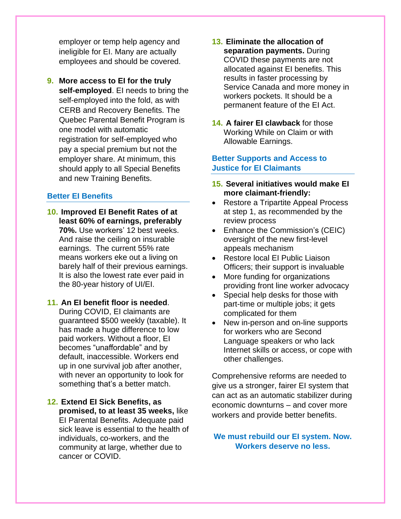employer or temp help agency and ineligible for EI. Many are actually employees and should be covered.

**9. More access to EI for the truly self-employed**. EI needs to bring the self-employed into the fold, as with CERB and Recovery Benefits. The Quebec Parental Benefit Program is one model with automatic registration for self-employed who pay a special premium but not the employer share. At minimum, this should apply to all Special Benefits and new Training Benefits.

#### **Better EI Benefits**

- **10. Improved EI Benefit Rates of at least 60% of earnings, preferably 70%.** Use workers' 12 best weeks. And raise the ceiling on insurable earnings. The current 55% rate means workers eke out a living on barely half of their previous earnings. It is also the lowest rate ever paid in the 80-year history of UI/EI.
- **11. An EI benefit floor is needed**. During COVID, EI claimants are guaranteed \$500 weekly (taxable). It has made a huge difference to low paid workers. Without a floor, EI becomes "unaffordable" and by default, inaccessible. Workers end up in one survival job after another, with never an opportunity to look for something that's a better match.
- **12. Extend EI Sick Benefits, as promised, to at least 35 weeks,** like EI Parental Benefits. Adequate paid sick leave is essential to the health of individuals, co-workers, and the community at large, whether due to cancer or COVID.
- **13. Eliminate the allocation of separation payments.** During COVID these payments are not allocated against EI benefits. This results in faster processing by Service Canada and more money in workers pockets. It should be a permanent feature of the EI Act.
- **14. A fairer EI clawback** for those Working While on Claim or with Allowable Earnings.

#### **Better Supports and Access to Justice for EI Claimants**

- **15. Several initiatives would make EI more claimant-friendly:**
- Restore a Tripartite Appeal Process at step 1, as recommended by the review process
- Enhance the Commission's (CEIC) oversight of the new first-level appeals mechanism
- Restore local EI Public Liaison Officers; their support is invaluable
- More funding for organizations providing front line worker advocacy
- Special help desks for those with part-time or multiple jobs; it gets complicated for them
- New in-person and on-line supports for workers who are Second Language speakers or who lack Internet skills or access, or cope with other challenges.

Comprehensive reforms are needed to give us a stronger, fairer EI system that can act as an automatic stabilizer during economic downturns – and cover more workers and provide better benefits.

#### **We must rebuild our EI system. Now. Workers deserve no less.**